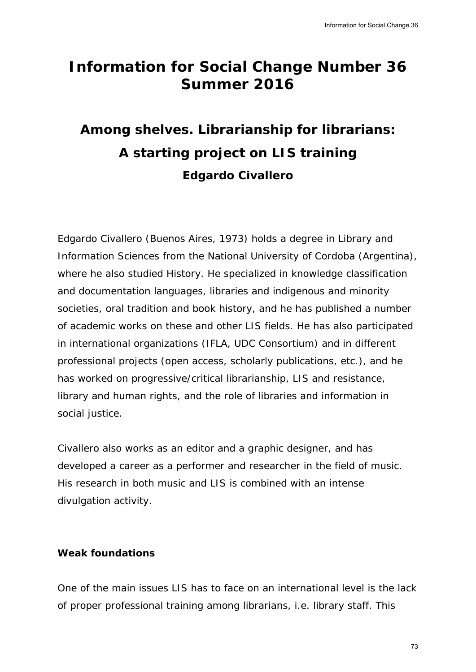## **Information for Social Change Number 36 Summer 2016**

# **Among shelves. Librarianship for librarians: A starting project on LIS training Edgardo Civallero**

Edgardo Civallero (Buenos Aires, 1973) holds a degree in Library and Information Sciences from the National University of Cordoba (Argentina), where he also studied History. He specialized in knowledge classification and documentation languages, libraries and indigenous and minority societies, oral tradition and book history, and he has published a number of academic works on these and other LIS fields. He has also participated in international organizations (IFLA, UDC Consortium) and in different professional projects (open access, scholarly publications, etc.), and he has worked on progressive/critical librarianship, LIS and resistance, library and human rights, and the role of libraries and information in social justice. Information for Social Change 36<br> **Illonger 36**<br>
Illonger 36<br>
Illonger 26<br>
In Library and<br>
Indy Classification<br>
and minority<br>
In Library and<br>
Indiscussification<br>
and in different<br>
Ins, etc.), and he<br>
deresistance,<br>
Informa

Civallero also works as an editor and a graphic designer, and has developed a career as a performer and researcher in the field of music. His research in both music and LIS is combined with an intense divulgation activity.

### **Weak foundations**

One of the main issues LIS has to face on an international level is the lack of proper professional training among librarians, i.e. library staff. This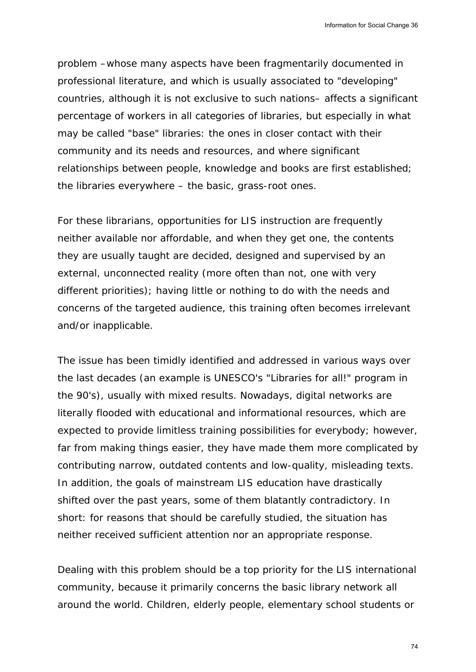problem –whose many aspects have been fragmentarily documented in professional literature, and which is usually associated to "developing" countries, although it is not exclusive to such nations– affects a significant percentage of workers in all categories of libraries, but especially in what may be called "base" libraries: the ones in closer contact with their community and its needs and resources, and where significant relationships between people, knowledge and books are first established; the libraries everywhere – the basic, grass-root ones.

For these librarians, opportunities for LIS instruction are frequently neither available nor affordable, and when they get one, the contents they are usually taught are decided, designed and supervised by an external, unconnected reality (more often than not, one with very different priorities); having little or nothing to do with the needs and concerns of the targeted audience, this training often becomes irrelevant and/or inapplicable.

The issue has been timidly identified and addressed in various ways over the last decades (an example is UNESCO's "Libraries for all!" program in the 90's), usually with mixed results. Nowadays, digital networks are literally flooded with educational and informational resources, which are expected to provide limitless training possibilities for everybody; however, far from making things easier, they have made them more complicated by contributing narrow, outdated contents and low-quality, misleading texts. In addition, the goals of mainstream LIS education have drastically shifted over the past years, some of them blatantly contradictory. In short: for reasons that should be carefully studied, the situation has neither received sufficient attention nor an appropriate response. Information for Social Change 36<br>y documented in<br>to "developing"<br>affects a significant<br>especially in what<br>ct with their<br>nificant<br>e first established;<br>e first established;<br>e frequently<br>e, the contents<br>privised by an<br>e with

Dealing with this problem should be a top priority for the LIS international community, because it primarily concerns the basic library network all around the world. Children, elderly people, elementary school students or

74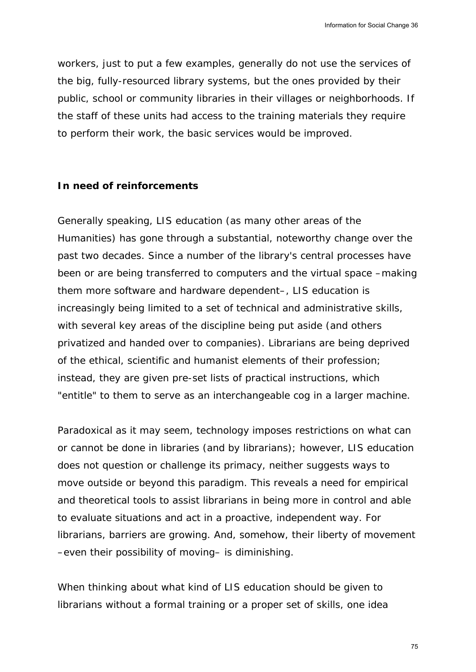workers, just to put a few examples, generally do not use the services of the big, fully-resourced library systems, but the ones provided by their public, school or community libraries in their villages or neighborhoods. If the staff of these units had access to the training materials they require to perform their work, the basic services would be improved.

#### **In need of reinforcements**

Generally speaking, LIS education (as many other areas of the Humanities) has gone through a substantial, noteworthy change over the past two decades. Since a number of the library's central processes have been or are being transferred to computers and the virtual space –making them more software and hardware dependent–, LIS education is increasingly being limited to a set of technical and administrative skills, with several key areas of the discipline being put aside (and others privatized and handed over to companies). Librarians are being deprived of the ethical, scientific and humanist elements of their profession; instead, they are given pre-set lists of practical instructions, which "entitle" to them to serve as an interchangeable cog in a larger machine. Information for Social Change 36<br>Ise the services of<br>rovided by their<br>rials they require<br>oved.<br>Social Change over the<br>al processes have<br>tual space —making<br>ucation is<br>inistrative skills,<br>(and others<br>re being deprived<br>profes

Paradoxical as it may seem, technology imposes restrictions on what can or cannot be done in libraries (and by librarians); however, LIS education does not question or challenge its primacy, neither suggests ways to move outside or beyond this paradigm. This reveals a need for empirical and theoretical tools to assist librarians in being more in control and able to evaluate situations and act in a proactive, independent way. For librarians, barriers are growing. And, somehow, their liberty of movement –even their possibility of moving– is diminishing.

When thinking about what kind of LIS education should be given to librarians without a formal training or a proper set of skills, one idea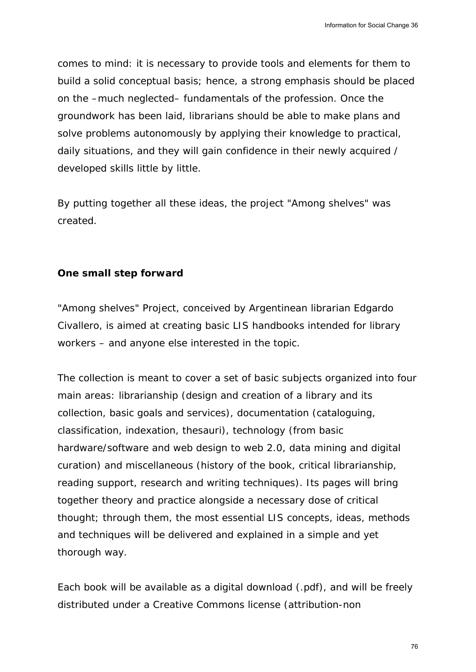comes to mind: it is necessary to provide tools and elements for them to build a solid conceptual basis; hence, a strong emphasis should be placed on the –much neglected– fundamentals of the profession. Once the groundwork has been laid, librarians should be able to make plans and solve problems autonomously by applying their knowledge to practical, daily situations, and they will gain confidence in their newly acquired / developed skills little by little.

By putting together all these ideas, the project "Among shelves" was created.

### **One small step forward**

"Among shelves" Project, conceived by Argentinean librarian Edgardo Civallero, is aimed at creating basic LIS handbooks intended for library workers – and anyone else interested in the topic.

The collection is meant to cover a set of basic subjects organized into four main areas: librarianship (design and creation of a library and its collection, basic goals and services), documentation (cataloguing, classification, indexation, thesauri), technology (from basic hardware/software and web design to web 2.0, data mining and digital curation) and miscellaneous (history of the book, critical librarianship, reading support, research and writing techniques). Its pages will bring together theory and practice alongside a necessary dose of critical thought; through them, the most essential LIS concepts, ideas, methods and techniques will be delivered and explained in a simple and yet thorough way. Information for Social Change 36<br>
ments for them to<br>
is should be placed<br>
on. Once the<br>
make plans and<br>
dge to practical,<br>
ewly acquired /<br>
shelves" was<br>
shelves" was<br>
arian Edgardo<br>
arian Edgardo<br>
med of library<br>
organize

Each book will be available as a digital download (.pdf), and will be freely distributed under a Creative Commons license (attribution-non